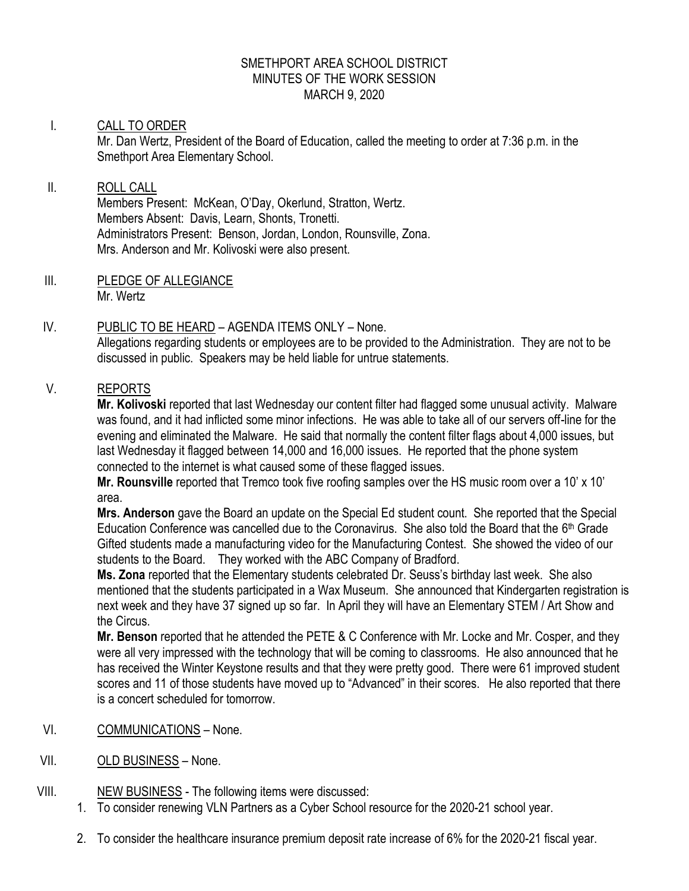#### SMETHPORT AREA SCHOOL DISTRICT MINUTES OF THE WORK SESSION MARCH 9, 2020

### I. CALL TO ORDER

Mr. Dan Wertz, President of the Board of Education, called the meeting to order at 7:36 p.m. in the Smethport Area Elementary School.

### II. ROLL CALL

Members Present: McKean, O'Day, Okerlund, Stratton, Wertz. Members Absent: Davis, Learn, Shonts, Tronetti. Administrators Present: Benson, Jordan, London, Rounsville, Zona. Mrs. Anderson and Mr. Kolivoski were also present.

III. PLEDGE OF ALLEGIANCE Mr. Wertz

# IV. PUBLIC TO BE HEARD – AGENDA ITEMS ONLY – None.

Allegations regarding students or employees are to be provided to the Administration. They are not to be discussed in public. Speakers may be held liable for untrue statements.

# V. REPORTS

**Mr. Kolivoski** reported that last Wednesday our content filter had flagged some unusual activity. Malware was found, and it had inflicted some minor infections. He was able to take all of our servers off-line for the evening and eliminated the Malware. He said that normally the content filter flags about 4,000 issues, but last Wednesday it flagged between 14,000 and 16,000 issues. He reported that the phone system connected to the internet is what caused some of these flagged issues.

**Mr. Rounsville** reported that Tremco took five roofing samples over the HS music room over a 10' x 10' area.

**Mrs. Anderson** gave the Board an update on the Special Ed student count. She reported that the Special Education Conference was cancelled due to the Coronavirus. She also told the Board that the 6<sup>th</sup> Grade Gifted students made a manufacturing video for the Manufacturing Contest. She showed the video of our students to the Board. They worked with the ABC Company of Bradford.

**Ms. Zona** reported that the Elementary students celebrated Dr. Seuss's birthday last week. She also mentioned that the students participated in a Wax Museum. She announced that Kindergarten registration is next week and they have 37 signed up so far. In April they will have an Elementary STEM / Art Show and the Circus.

**Mr. Benson** reported that he attended the PETE & C Conference with Mr. Locke and Mr. Cosper, and they were all very impressed with the technology that will be coming to classrooms. He also announced that he has received the Winter Keystone results and that they were pretty good. There were 61 improved student scores and 11 of those students have moved up to "Advanced" in their scores. He also reported that there is a concert scheduled for tomorrow.

- VI. COMMUNICATIONS None.
- VII. OLD BUSINESS None.
- VIII. NEW BUSINESS The following items were discussed:
	- 1. To consider renewing VLN Partners as a Cyber School resource for the 2020-21 school year.
	- 2. To consider the healthcare insurance premium deposit rate increase of 6% for the 2020-21 fiscal year.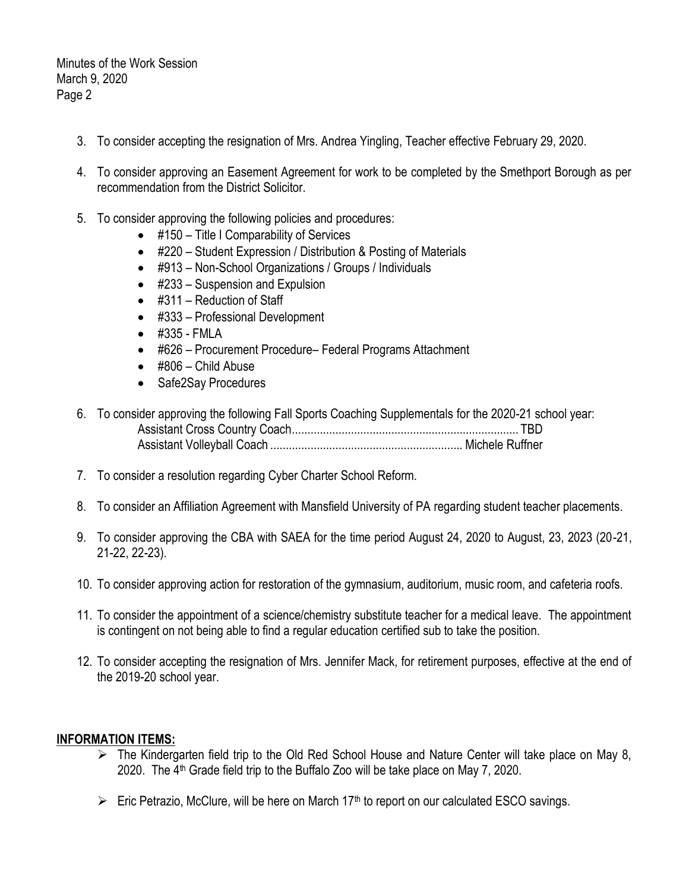Minutes of the Work Session March 9, 2020 Page 2

- 3. To consider accepting the resignation of Mrs. Andrea Yingling, Teacher effective February 29, 2020.
- 4. To consider approving an Easement Agreement for work to be completed by the Smethport Borough as per recommendation from the District Solicitor.
- 5. To consider approving the following policies and procedures:
	- #150 Title I Comparability of Services
	- #220 Student Expression / Distribution & Posting of Materials
	- #913 Non-School Organizations / Groups / Individuals
	- #233 Suspension and Expulsion
	- #311 Reduction of Staff
	- #333 Professional Development
	- #335 FMLA
	- #626 Procurement Procedure– Federal Programs Attachment
	- $\bullet$  #806 Child Abuse
	- Safe2Say Procedures

| 6. To consider approving the following Fall Sports Coaching Supplementals for the 2020-21 school year: |  |
|--------------------------------------------------------------------------------------------------------|--|
|                                                                                                        |  |
|                                                                                                        |  |

- 7. To consider a resolution regarding Cyber Charter School Reform.
- 8. To consider an Affiliation Agreement with Mansfield University of PA regarding student teacher placements.
- 9. To consider approving the CBA with SAEA for the time period August 24, 2020 to August, 23, 2023 (20-21, 21-22, 22-23).
- 10. To consider approving action for restoration of the gymnasium, auditorium, music room, and cafeteria roofs.
- 11. To consider the appointment of a science/chemistry substitute teacher for a medical leave. The appointment is contingent on not being able to find a regular education certified sub to take the position.
- 12. To consider accepting the resignation of Mrs. Jennifer Mack, for retirement purposes, effective at the end of the 2019-20 school year.

### **INFORMATION ITEMS:**

- $\triangleright$  The Kindergarten field trip to the Old Red School House and Nature Center will take place on May 8, 2020. The  $4<sup>th</sup>$  Grade field trip to the Buffalo Zoo will be take place on May 7, 2020.
- $\triangleright$  Eric Petrazio, McClure, will be here on March 17<sup>th</sup> to report on our calculated ESCO savings.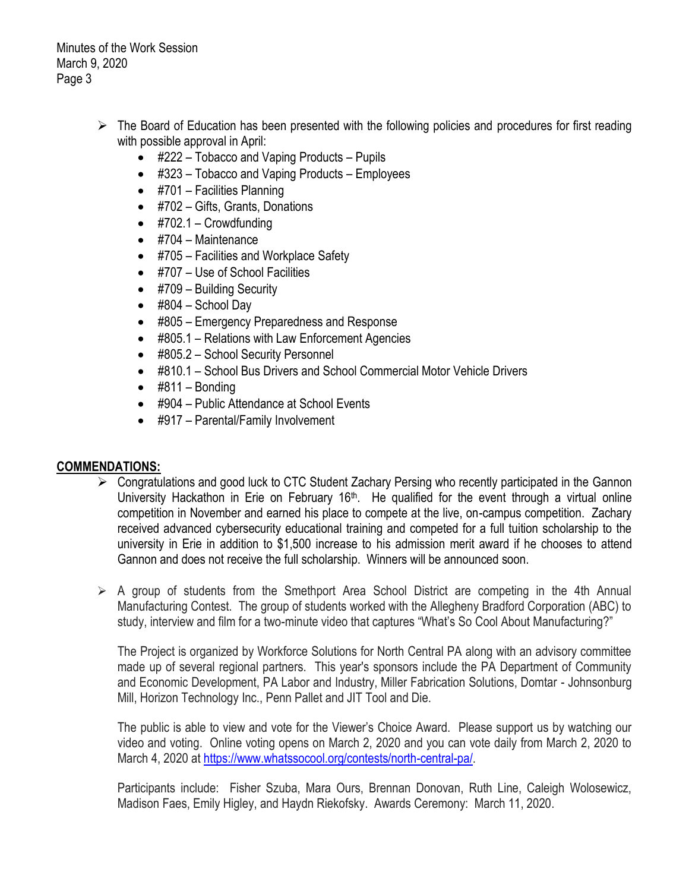Minutes of the Work Session March 9, 2020 Page 3

- $\triangleright$  The Board of Education has been presented with the following policies and procedures for first reading with possible approval in April:
	- #222 Tobacco and Vaping Products Pupils
	- #323 Tobacco and Vaping Products Employees
	- $\bullet$  #701 Facilities Planning
	- #702 Gifts, Grants, Donations
	- $\bullet$  #702.1 Crowdfunding
	- $\bullet$  #704 Maintenance
	- #705 Facilities and Workplace Safety
	- #707 Use of School Facilities
	- #709 Building Security
	- $\bullet$  #804 School Day
	- #805 Emergency Preparedness and Response
	- #805.1 Relations with Law Enforcement Agencies
	- #805.2 School Security Personnel
	- #810.1 School Bus Drivers and School Commercial Motor Vehicle Drivers
	- $\bullet$  #811 Bonding
	- #904 Public Attendance at School Events
	- #917 Parental/Family Involvement

### **COMMENDATIONS:**

- Congratulations and good luck to CTC Student Zachary Persing who recently participated in the Gannon University Hackathon in Erie on February 16<sup>th</sup>. He qualified for the event through a virtual online competition in November and earned his place to compete at the live, on-campus competition. Zachary received advanced cybersecurity educational training and competed for a full tuition scholarship to the university in Erie in addition to \$1,500 increase to his admission merit award if he chooses to attend Gannon and does not receive the full scholarship. Winners will be announced soon.
- $\triangleright$  A group of students from the Smethport Area School District are competing in the 4th Annual Manufacturing Contest. The group of students worked with the Allegheny Bradford Corporation (ABC) to study, interview and film for a two-minute video that captures "What's So Cool About Manufacturing?"

The Project is organized by Workforce Solutions for North Central PA along with an advisory committee made up of several regional partners. This year's sponsors include the PA Department of Community and Economic Development, PA Labor and Industry, Miller Fabrication Solutions, Domtar - Johnsonburg Mill, Horizon Technology Inc., Penn Pallet and JIT Tool and Die.

The public is able to view and vote for the Viewer's Choice Award. Please support us by watching our video and voting. Online voting opens on March 2, 2020 and you can vote daily from March 2, 2020 to March 4, 2020 at [https://www.whatssocool.org/contests/north-central-pa/.](https://www.whatssocool.org/contests/north-central-pa/)

Participants include: Fisher Szuba, Mara Ours, Brennan Donovan, Ruth Line, Caleigh Wolosewicz, Madison Faes, Emily Higley, and Haydn Riekofsky. Awards Ceremony: March 11, 2020.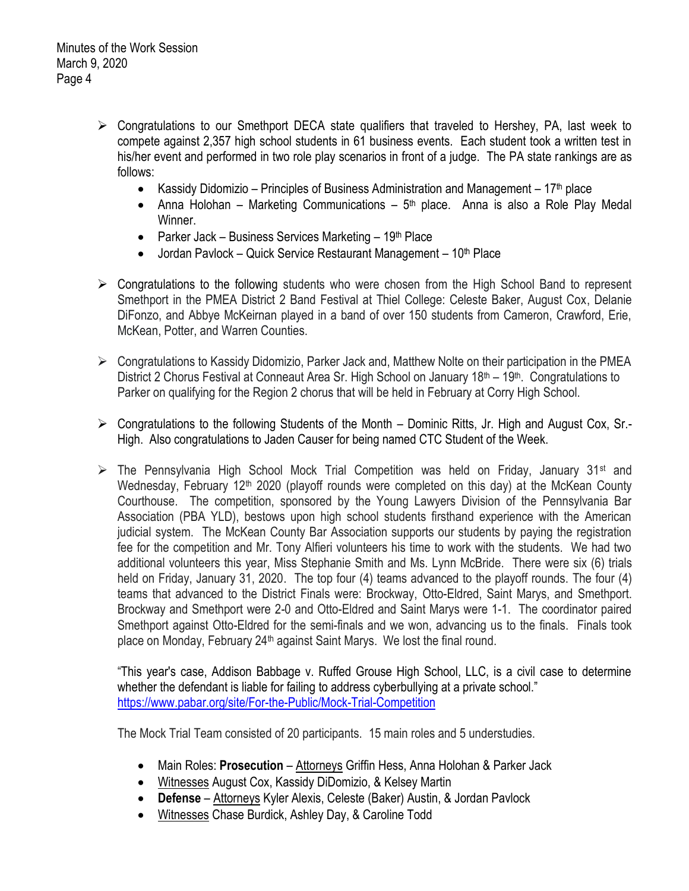- $\triangleright$  Congratulations to our Smethport DECA state qualifiers that traveled to Hershey, PA, last week to compete against 2,357 high school students in 61 business events. Each student took a written test in his/her event and performed in two role play scenarios in front of a judge. The PA state rankings are as follows:
	- Kassidy Didomizio Principles of Business Administration and Management  $17<sup>th</sup>$  place
	- Anna Holohan Marketing Communications  $5<sup>th</sup>$  place. Anna is also a Role Play Medal Winner.
	- Parker Jack Business Services Marketing  $19<sup>th</sup>$  Place
	- $\bullet$  Jordan Pavlock Quick Service Restaurant Management 10<sup>th</sup> Place
- $\triangleright$  Congratulations to the following students who were chosen from the High School Band to represent Smethport in the PMEA District 2 Band Festival at Thiel College: Celeste Baker, August Cox, Delanie DiFonzo, and Abbye McKeirnan played in a band of over 150 students from Cameron, Crawford, Erie, McKean, Potter, and Warren Counties.
- $\triangleright$  Congratulations to Kassidy Didomizio, Parker Jack and, Matthew Nolte on their participation in the PMEA District 2 Chorus Festival at Conneaut Area Sr. High School on January 18<sup>th</sup> – 19<sup>th</sup>. Congratulations to Parker on qualifying for the Region 2 chorus that will be held in February at Corry High School.
- $\triangleright$  Congratulations to the following Students of the Month Dominic Ritts, Jr. High and August Cox, Sr.-High. Also congratulations to Jaden Causer for being named CTC Student of the Week.
- $\triangleright$  The Pennsylvania High School Mock Trial Competition was held on Friday, January 31<sup>st</sup> and Wednesday, February 12<sup>th</sup> 2020 (playoff rounds were completed on this day) at the McKean County Courthouse. The competition, sponsored by the Young Lawyers Division of the Pennsylvania Bar Association (PBA YLD), bestows upon high school students firsthand experience with the American judicial system. The McKean County Bar Association supports our students by paying the registration fee for the competition and Mr. Tony Alfieri volunteers his time to work with the students. We had two additional volunteers this year, Miss Stephanie Smith and Ms. Lynn McBride. There were six (6) trials held on Friday, January 31, 2020. The top four (4) teams advanced to the playoff rounds. The four (4) teams that advanced to the District Finals were: Brockway, Otto-Eldred, Saint Marys, and Smethport. Brockway and Smethport were 2-0 and Otto-Eldred and Saint Marys were 1-1. The coordinator paired Smethport against Otto-Eldred for the semi-finals and we won, advancing us to the finals. Finals took place on Monday, February 24<sup>th</sup> against Saint Marys. We lost the final round.

"This year's case, Addison Babbage v. Ruffed Grouse High School, LLC, is a civil case to determine whether the defendant is liable for failing to address cyberbullying at a private school." <https://www.pabar.org/site/For-the-Public/Mock-Trial-Competition>

The Mock Trial Team consisted of 20 participants. 15 main roles and 5 understudies.

- Main Roles: **Prosecution** Attorneys Griffin Hess, Anna Holohan & Parker Jack
- Witnesses August Cox, Kassidy DiDomizio, & Kelsey Martin
- **Defense** Attorneys Kyler Alexis, Celeste (Baker) Austin, & Jordan Pavlock
- Witnesses Chase Burdick, Ashley Day, & Caroline Todd